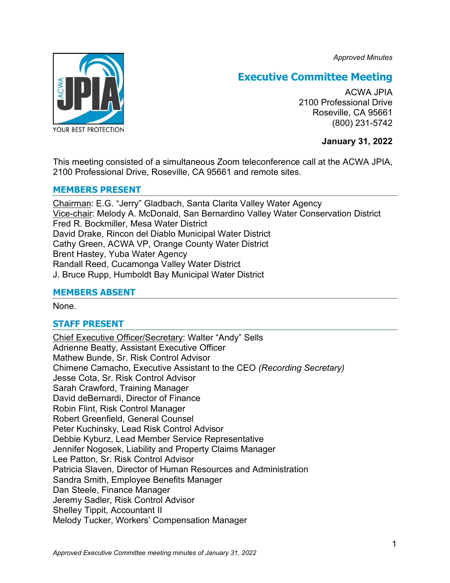*Approved Minutes*



# **Executive Committee Meeting**

ACWA JPIA 2100 Professional Drive Roseville, CA 95661 (800) 231-5742

**January 31, 2022**

This meeting consisted of a simultaneous Zoom teleconference call at the ACWA JPIA, 2100 Professional Drive, Roseville, CA 95661 and remote sites.

## **MEMBERS PRESENT**

Chairman: E.G. "Jerry" Gladbach, Santa Clarita Valley Water Agency Vice-chair: Melody A. McDonald, San Bernardino Valley Water Conservation District Fred R. Bockmiller, Mesa Water District David Drake, Rincon del Diablo Municipal Water District Cathy Green, ACWA VP, Orange County Water District Brent Hastey, Yuba Water Agency Randall Reed, Cucamonga Valley Water District J. Bruce Rupp, Humboldt Bay Municipal Water District

## **MEMBERS ABSENT**

None.

## **STAFF PRESENT**

Chief Executive Officer/Secretary: Walter "Andy" Sells Adrienne Beatty, Assistant Executive Officer Mathew Bunde, Sr. Risk Control Advisor Chimene Camacho, Executive Assistant to the CEO *(Recording Secretary)* Jesse Cota, Sr. Risk Control Advisor Sarah Crawford, Training Manager David deBernardi, Director of Finance Robin Flint, Risk Control Manager Robert Greenfield, General Counsel Peter Kuchinsky, Lead Risk Control Advisor Debbie Kyburz, Lead Member Service Representative Jennifer Nogosek, Liability and Property Claims Manager Lee Patton, Sr. Risk Control Advisor Patricia Slaven, Director of Human Resources and Administration Sandra Smith, Employee Benefits Manager Dan Steele, Finance Manager Jeremy Sadler, Risk Control Advisor Shelley Tippit, Accountant II Melody Tucker, Workers' Compensation Manager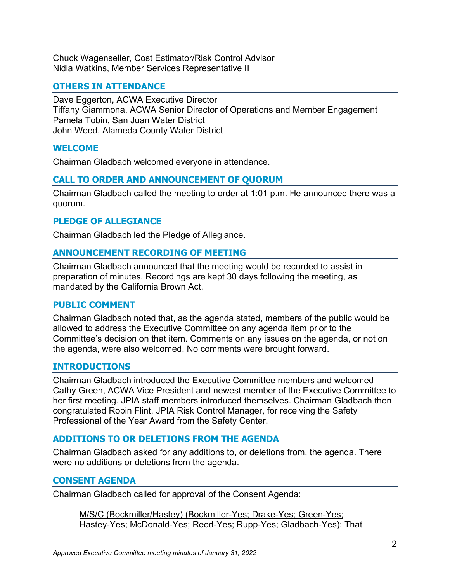Chuck Wagenseller, Cost Estimator/Risk Control Advisor Nidia Watkins, Member Services Representative II

## **OTHERS IN ATTENDANCE**

Dave Eggerton, ACWA Executive Director Tiffany Giammona, ACWA Senior Director of Operations and Member Engagement Pamela Tobin, San Juan Water District John Weed, Alameda County Water District

## **WELCOME**

Chairman Gladbach welcomed everyone in attendance.

## **CALL TO ORDER AND ANNOUNCEMENT OF QUORUM**

Chairman Gladbach called the meeting to order at 1:01 p.m. He announced there was a quorum.

#### **PLEDGE OF ALLEGIANCE**

Chairman Gladbach led the Pledge of Allegiance.

#### **ANNOUNCEMENT RECORDING OF MEETING**

Chairman Gladbach announced that the meeting would be recorded to assist in preparation of minutes. Recordings are kept 30 days following the meeting, as mandated by the California Brown Act.

#### **PUBLIC COMMENT**

Chairman Gladbach noted that, as the agenda stated, members of the public would be allowed to address the Executive Committee on any agenda item prior to the Committee's decision on that item. Comments on any issues on the agenda, or not on the agenda, were also welcomed. No comments were brought forward.

#### **INTRODUCTIONS**

Chairman Gladbach introduced the Executive Committee members and welcomed Cathy Green, ACWA Vice President and newest member of the Executive Committee to her first meeting. JPIA staff members introduced themselves. Chairman Gladbach then congratulated Robin Flint, JPIA Risk Control Manager, for receiving the Safety Professional of the Year Award from the Safety Center.

## **ADDITIONS TO OR DELETIONS FROM THE AGENDA**

Chairman Gladbach asked for any additions to, or deletions from, the agenda. There were no additions or deletions from the agenda.

## **CONSENT AGENDA**

Chairman Gladbach called for approval of the Consent Agenda:

M/S/C (Bockmiller/Hastey) (Bockmiller-Yes; Drake-Yes; Green-Yes; Hastey-Yes; McDonald-Yes; Reed-Yes; Rupp-Yes; Gladbach-Yes): That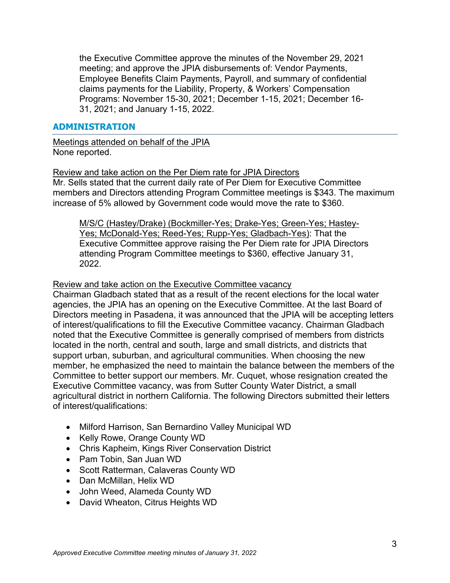the Executive Committee approve the minutes of the November 29, 2021 meeting; and approve the JPIA disbursements of: Vendor Payments, Employee Benefits Claim Payments, Payroll, and summary of confidential claims payments for the Liability, Property, & Workers' Compensation Programs: November 15-30, 2021; December 1-15, 2021; December 16- 31, 2021; and January 1-15, 2022.

#### **ADMINISTRATION**

Meetings attended on behalf of the JPIA None reported.

Review and take action on the Per Diem rate for JPIA Directors Mr. Sells stated that the current daily rate of Per Diem for Executive Committee members and Directors attending Program Committee meetings is \$343. The maximum increase of 5% allowed by Government code would move the rate to \$360.

M/S/C (Hastey/Drake) (Bockmiller-Yes; Drake-Yes; Green-Yes; Hastey-Yes; McDonald-Yes; Reed-Yes; Rupp-Yes; Gladbach-Yes): That the Executive Committee approve raising the Per Diem rate for JPIA Directors attending Program Committee meetings to \$360, effective January 31, 2022.

#### Review and take action on the Executive Committee vacancy

Chairman Gladbach stated that as a result of the recent elections for the local water agencies, the JPIA has an opening on the Executive Committee. At the last Board of Directors meeting in Pasadena, it was announced that the JPIA will be accepting letters of interest/qualifications to fill the Executive Committee vacancy. Chairman Gladbach noted that the Executive Committee is generally comprised of members from districts located in the north, central and south, large and small districts, and districts that support urban, suburban, and agricultural communities. When choosing the new member, he emphasized the need to maintain the balance between the members of the Committee to better support our members. Mr. Cuquet, whose resignation created the Executive Committee vacancy, was from Sutter County Water District, a small agricultural district in northern California. The following Directors submitted their letters of interest/qualifications:

- Milford Harrison, San Bernardino Valley Municipal WD
- Kelly Rowe, Orange County WD
- Chris Kapheim, Kings River Conservation District
- Pam Tobin, San Juan WD
- Scott Ratterman, Calaveras County WD
- Dan McMillan, Helix WD
- John Weed, Alameda County WD
- David Wheaton, Citrus Heights WD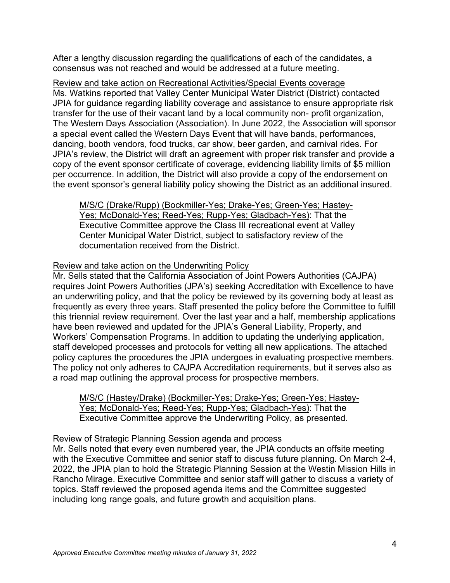After a lengthy discussion regarding the qualifications of each of the candidates, a consensus was not reached and would be addressed at a future meeting.

Review and take action on Recreational Activities/Special Events coverage Ms. Watkins reported that Valley Center Municipal Water District (District) contacted JPIA for guidance regarding liability coverage and assistance to ensure appropriate risk transfer for the use of their vacant land by a local community non- profit organization, The Western Days Association (Association). In June 2022, the Association will sponsor a special event called the Western Days Event that will have bands, performances, dancing, booth vendors, food trucks, car show, beer garden, and carnival rides. For JPIA's review, the District will draft an agreement with proper risk transfer and provide a copy of the event sponsor certificate of coverage, evidencing liability limits of \$5 million per occurrence. In addition, the District will also provide a copy of the endorsement on the event sponsor's general liability policy showing the District as an additional insured.

M/S/C (Drake/Rupp) (Bockmiller-Yes; Drake-Yes; Green-Yes; Hastey-Yes; McDonald-Yes; Reed-Yes; Rupp-Yes; Gladbach-Yes): That the Executive Committee approve the Class III recreational event at Valley Center Municipal Water District, subject to satisfactory review of the documentation received from the District.

## Review and take action on the Underwriting Policy

Mr. Sells stated that the California Association of Joint Powers Authorities (CAJPA) requires Joint Powers Authorities (JPA's) seeking Accreditation with Excellence to have an underwriting policy, and that the policy be reviewed by its governing body at least as frequently as every three years. Staff presented the policy before the Committee to fulfill this triennial review requirement. Over the last year and a half, membership applications have been reviewed and updated for the JPIA's General Liability, Property, and Workers' Compensation Programs. In addition to updating the underlying application, staff developed processes and protocols for vetting all new applications. The attached policy captures the procedures the JPIA undergoes in evaluating prospective members. The policy not only adheres to CAJPA Accreditation requirements, but it serves also as a road map outlining the approval process for prospective members.

M/S/C (Hastey/Drake) (Bockmiller-Yes; Drake-Yes; Green-Yes; Hastey-Yes; McDonald-Yes; Reed-Yes; Rupp-Yes; Gladbach-Yes): That the Executive Committee approve the Underwriting Policy, as presented.

#### Review of Strategic Planning Session agenda and process

Mr. Sells noted that every even numbered year, the JPIA conducts an offsite meeting with the Executive Committee and senior staff to discuss future planning. On March 2-4, 2022, the JPIA plan to hold the Strategic Planning Session at the Westin Mission Hills in Rancho Mirage. Executive Committee and senior staff will gather to discuss a variety of topics. Staff reviewed the proposed agenda items and the Committee suggested including long range goals, and future growth and acquisition plans.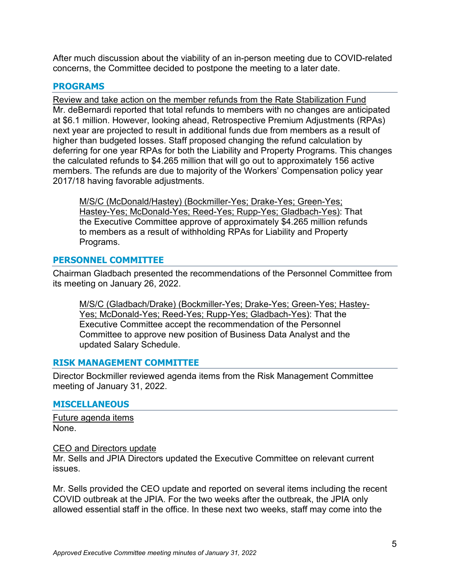After much discussion about the viability of an in-person meeting due to COVID-related concerns, the Committee decided to postpone the meeting to a later date.

## **PROGRAMS**

Review and take action on the member refunds from the Rate Stabilization Fund Mr. deBernardi reported that total refunds to members with no changes are anticipated at \$6.1 million. However, looking ahead, Retrospective Premium Adjustments (RPAs) next year are projected to result in additional funds due from members as a result of higher than budgeted losses. Staff proposed changing the refund calculation by deferring for one year RPAs for both the Liability and Property Programs. This changes the calculated refunds to \$4.265 million that will go out to approximately 156 active members. The refunds are due to majority of the Workers' Compensation policy year 2017/18 having favorable adjustments.

M/S/C (McDonald/Hastey) (Bockmiller-Yes; Drake-Yes; Green-Yes; Hastey-Yes; McDonald-Yes; Reed-Yes; Rupp-Yes; Gladbach-Yes): That the Executive Committee approve of approximately \$4.265 million refunds to members as a result of withholding RPAs for Liability and Property Programs.

## **PERSONNEL COMMITTEE**

Chairman Gladbach presented the recommendations of the Personnel Committee from its meeting on January 26, 2022.

M/S/C (Gladbach/Drake) (Bockmiller-Yes; Drake-Yes; Green-Yes; Hastey-Yes; McDonald-Yes; Reed-Yes; Rupp-Yes; Gladbach-Yes): That the Executive Committee accept the recommendation of the Personnel Committee to approve new position of Business Data Analyst and the updated Salary Schedule.

## **RISK MANAGEMENT COMMITTEE**

Director Bockmiller reviewed agenda items from the Risk Management Committee meeting of January 31, 2022.

## **MISCELLANEOUS**

Future agenda items None.

#### CEO and Directors update

Mr. Sells and JPIA Directors updated the Executive Committee on relevant current issues.

Mr. Sells provided the CEO update and reported on several items including the recent COVID outbreak at the JPIA. For the two weeks after the outbreak, the JPIA only allowed essential staff in the office. In these next two weeks, staff may come into the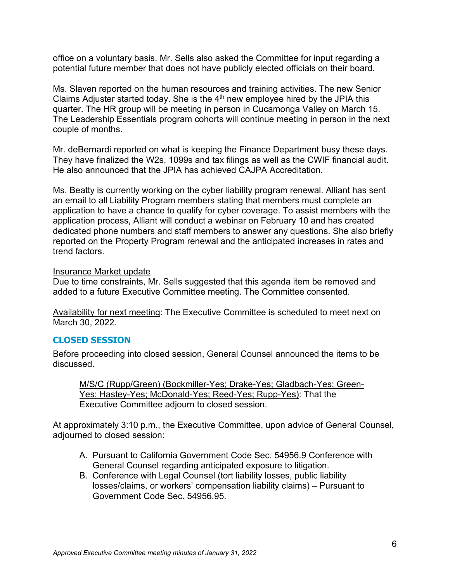office on a voluntary basis. Mr. Sells also asked the Committee for input regarding a potential future member that does not have publicly elected officials on their board.

Ms. Slaven reported on the human resources and training activities. The new Senior Claims Adjuster started today. She is the 4th new employee hired by the JPIA this quarter. The HR group will be meeting in person in Cucamonga Valley on March 15. The Leadership Essentials program cohorts will continue meeting in person in the next couple of months.

Mr. deBernardi reported on what is keeping the Finance Department busy these days. They have finalized the W2s, 1099s and tax filings as well as the CWIF financial audit. He also announced that the JPIA has achieved CAJPA Accreditation.

Ms. Beatty is currently working on the cyber liability program renewal. Alliant has sent an email to all Liability Program members stating that members must complete an application to have a chance to qualify for cyber coverage. To assist members with the application process, Alliant will conduct a webinar on February 10 and has created dedicated phone numbers and staff members to answer any questions. She also briefly reported on the Property Program renewal and the anticipated increases in rates and trend factors.

#### Insurance Market update

Due to time constraints, Mr. Sells suggested that this agenda item be removed and added to a future Executive Committee meeting. The Committee consented.

Availability for next meeting: The Executive Committee is scheduled to meet next on March 30, 2022.

## **CLOSED SESSION**

Before proceeding into closed session, General Counsel announced the items to be discussed.

M/S/C (Rupp/Green) (Bockmiller-Yes; Drake-Yes; Gladbach-Yes; Green-Yes; Hastey-Yes; McDonald-Yes; Reed-Yes; Rupp-Yes): That the Executive Committee adjourn to closed session.

At approximately 3:10 p.m., the Executive Committee, upon advice of General Counsel, adjourned to closed session:

- A. Pursuant to California Government Code Sec. 54956.9 Conference with General Counsel regarding anticipated exposure to litigation.
- B. Conference with Legal Counsel (tort liability losses, public liability losses/claims, or workers' compensation liability claims) – Pursuant to Government Code Sec. 54956.95.